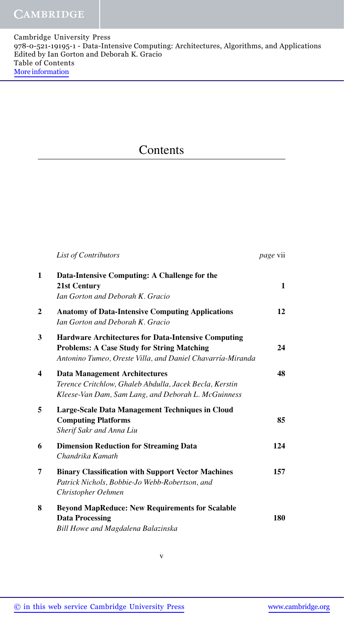## **Contents**

|                         | List of Contributors                                                                                                                                                          | <i>page</i> vii |
|-------------------------|-------------------------------------------------------------------------------------------------------------------------------------------------------------------------------|-----------------|
| 1                       | Data-Intensive Computing: A Challenge for the<br>21st Century<br>Ian Gorton and Deborah K. Gracio                                                                             | $\mathbf{1}$    |
| $\overline{2}$          | <b>Anatomy of Data-Intensive Computing Applications</b><br>Ian Gorton and Deborah K. Gracio                                                                                   | 12              |
| 3                       | <b>Hardware Architectures for Data-Intensive Computing</b><br><b>Problems: A Case Study for String Matching</b><br>Antonino Tumeo, Oreste Villa, and Daniel Chavarría-Miranda | 24              |
| $\overline{\mathbf{4}}$ | <b>Data Management Architectures</b><br>Terence Critchlow, Ghaleb Abdulla, Jacek Becla, Kerstin<br>Kleese-Van Dam, Sam Lang, and Deborah L. McGuinness                        | 48              |
| 5                       | Large-Scale Data Management Techniques in Cloud<br><b>Computing Platforms</b><br>Sherif Sakr and Anna Liu                                                                     | 85              |
| 6                       | <b>Dimension Reduction for Streaming Data</b><br>Chandrika Kamath                                                                                                             | 124             |
| 7                       | <b>Binary Classification with Support Vector Machines</b><br>Patrick Nichols, Bobbie-Jo Webb-Robertson, and<br>Christopher Oehmen                                             | 157             |
| 8                       | <b>Beyond MapReduce: New Requirements for Scalable</b><br><b>Data Processing</b><br>Bill Howe and Magdalena Balazinska                                                        | 180             |